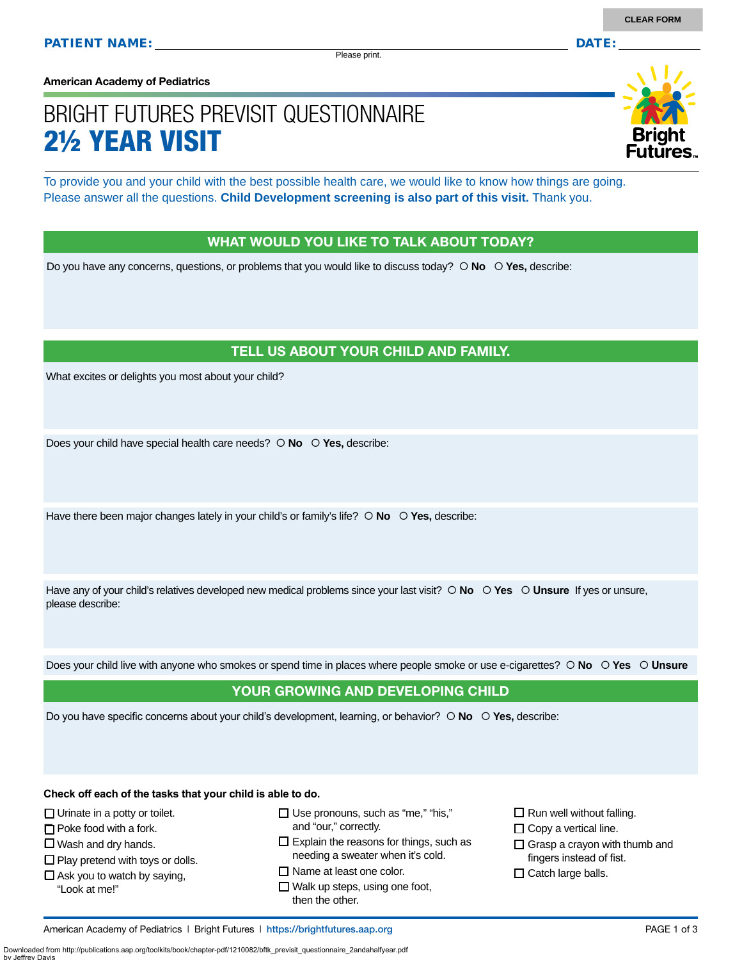Please print.

**American Academy of Pediatrics**

# BRIGHT FUTURES PREVISIT QUESTIONNAIRE 2½ YEAR VISIT

To provide you and your child with the best possible health care, we would like to know how things are going. Please answer all the questions. **Child Development screening is also part of this visit.** Thank you.

#### WHAT WOULD YOU LIKE TO TALK ABOUT TODAY?

Do you have any concerns, questions, or problems that you would like to discuss today?  $\circ$  **No**  $\circ$  **Yes**, describe:

#### TELL US ABOUT YOUR CHILD AND FAMILY.

What excites or delights you most about your child?

Does your child have special health care needs?  **No Yes,** describe:

Have there been major changes lately in your child's or family's life?  $\circ$  No  $\circ$  Yes, describe:

Have any of your child's relatives developed new medical problems since your last visit?  $\circ$  **No**  $\circ$  **Yes**  $\circ$  **Unsure** If yes or unsure, please describe:

Does your child live with anyone who smokes or spend time in places where people smoke or use e-cigarettes?  **No Yes Unsure**

#### YOUR GROWING AND DEVELOPING CHILD

Do you have specific concerns about your child's development, learning, or behavior?  **No Yes,** describe:

**Check off each of the tasks that your child is able to do.**

 $\Box$  Urinate in a potty or toilet.

 $\Box$  Poke food with a fork.

 $\Box$  Wash and dry hands.

 $\square$  Play pretend with toys or dolls.

 $\Box$  Ask you to watch by saying,

"Look at me!"

 $\Box$  Use pronouns, such as "me," "his," and "our," correctly.

 $\square$  Explain the reasons for things, such as needing a sweater when it's cold.

□ Name at least one color.

□ Walk up steps, using one foot, then the other.

 $\square$  Run well without falling.

 $\square$  Copy a vertical line.

 $\Box$  Grasp a crayon with thumb and fingers instead of fist.

 $\square$  Catch large balls.

American Academy of Pediatrics | Bright Futures | https:/[/brightfutures.aap.org](https://brightfutures.aap.org/Pages/default.aspx) PAGE 1 of 3

Downloaded from http://publications.aap.org/toolkits/book/chapter-pdf/1210082/bftk\_previsit\_questionnaire\_2andahalfyear.pdf by Jeffrey Davis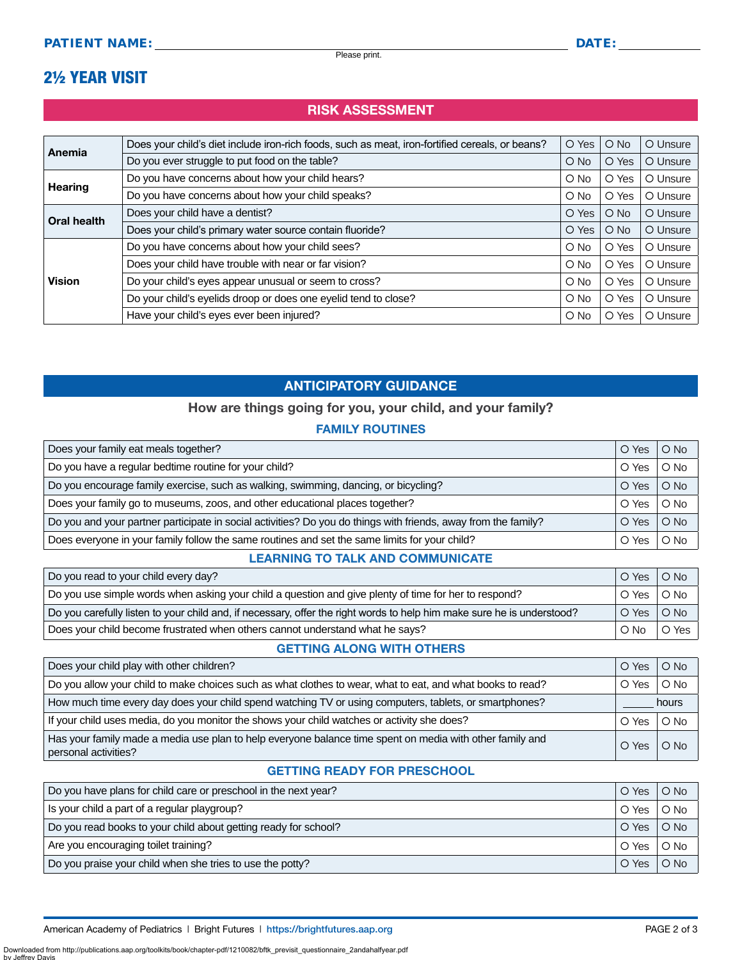### 2½ YEAR VISIT

#### RISK ASSESSMENT

| Anemia                       | Does your child's diet include iron-rich foods, such as meat, iron-fortified cereals, or beans? | O Yes         | $O$ No        | O Unsure |
|------------------------------|-------------------------------------------------------------------------------------------------|---------------|---------------|----------|
|                              | Do you ever struggle to put food on the table?                                                  | $\bigcirc$ No | O Yes         | O Unsure |
|                              | Do you have concerns about how your child hears?                                                | $O$ No        | O Yes         | O Unsure |
| <b>Hearing</b>               | Do you have concerns about how your child speaks?                                               | $\circ$ No    | O Yes         | O Unsure |
| Oral health<br><b>Vision</b> | Does your child have a dentist?                                                                 | O Yes         | $\bigcirc$ No | O Unsure |
|                              | Does your child's primary water source contain fluoride?                                        | O Yes         | $\bigcirc$ No | O Unsure |
|                              | Do you have concerns about how your child sees?                                                 | $\circ$ No    | O Yes         | O Unsure |
|                              | Does your child have trouble with near or far vision?                                           | $O$ No        | O Yes         | O Unsure |
|                              | Do your child's eyes appear unusual or seem to cross?                                           | $O$ No        | O Yes         | O Unsure |
|                              | Do your child's eyelids droop or does one eyelid tend to close?                                 | $O$ No        | O Yes         | O Unsure |
|                              | Have your child's eyes ever been injured?                                                       | $\circ$ No    | O Yes         | O Unsure |

#### ANTICIPATORY GUIDANCE

#### How are things going for you, your child, and your family?

#### FAMILY ROUTINES

| Does your family eat meals together?                                                                           |       | $O$ No |
|----------------------------------------------------------------------------------------------------------------|-------|--------|
| Do you have a regular bedtime routine for your child?                                                          |       | $O$ No |
| Do you encourage family exercise, such as walking, swimming, dancing, or bicycling?                            | O Yes | $O$ No |
| Does your family go to museums, zoos, and other educational places together?                                   |       | $O$ No |
| Do you and your partner participate in social activities? Do you do things with friends, away from the family? | O Yes | $O$ No |
| Does everyone in your family follow the same routines and set the same limits for your child?                  |       | $O$ No |

#### LEARNING TO TALK AND COMMUNICATE

| Do you read to your child every day?                                                                                   |  | O Yes O No   |
|------------------------------------------------------------------------------------------------------------------------|--|--------------|
| Do you use simple words when asking your child a question and give plenty of time for her to respond?                  |  | ∣O Yes ∣O No |
| Do you carefully listen to your child and, if necessary, offer the right words to help him make sure he is understood? |  | O Yes O No   |
| Does your child become frustrated when others cannot understand what he says?                                          |  | O Yes        |

#### GETTING ALONG WITH OTHERS

| Does your child play with other children?                                                                                        |       | $O$ No     |  |
|----------------------------------------------------------------------------------------------------------------------------------|-------|------------|--|
| Do you allow your child to make choices such as what clothes to wear, what to eat, and what books to read?                       | O Yes | $\circ$ No |  |
| How much time every day does your child spend watching TV or using computers, tablets, or smartphones?                           |       | hours      |  |
| If your child uses media, do you monitor the shows your child watches or activity she does?                                      | O Yes | $\circ$ No |  |
| Has your family made a media use plan to help everyone balance time spent on media with other family and<br>personal activities? |       | $O$ No     |  |

#### GETTING READY FOR PRESCHOOL

| Do you have plans for child care or preschool in the next year? |       | $O$ No        |
|-----------------------------------------------------------------|-------|---------------|
| Is your child a part of a regular playgroup?                    | O Yes | $\circ$ No    |
| Do you read books to your child about getting ready for school? |       | $O$ No        |
| Are you encouraging toilet training?                            | O Yes | $\bigcirc$ No |
| Do you praise your child when she tries to use the potty?       |       | $O$ No        |

Downloaded from http://publications.aap.org/toolkits/book/chapter-pdf/1210082/bftk\_previsit\_questionnaire\_2andahalfyear.pdf by Jeffrey I